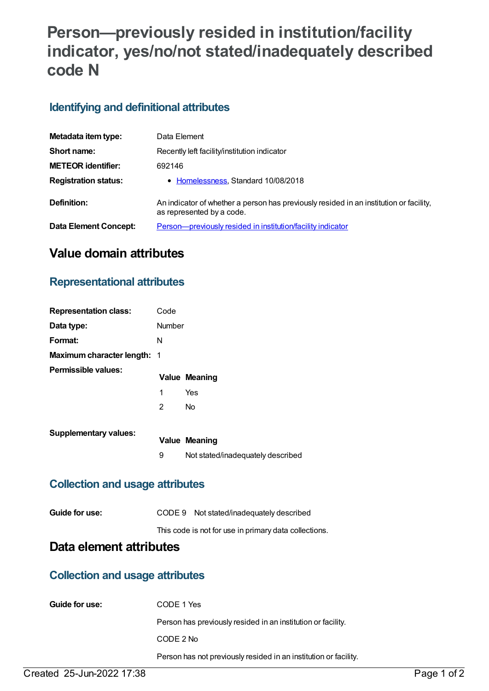# **Person—previously resided in institution/facility indicator, yes/no/not stated/inadequately described code N**

## **Identifying and definitional attributes**

| Metadata item type:         | Data Element                                                                                                        |
|-----------------------------|---------------------------------------------------------------------------------------------------------------------|
| Short name:                 | Recently left facility/institution indicator                                                                        |
| <b>METEOR identifier:</b>   | 692146                                                                                                              |
| <b>Registration status:</b> | • Homelessness, Standard 10/08/2018                                                                                 |
| Definition:                 | An indicator of whether a person has previously resided in an institution or facility,<br>as represented by a code. |
| Data Element Concept:       | Person-previously resided in institution/facility indicator                                                         |

## **Value domain attributes**

#### **Representational attributes**

| <b>Representation class:</b>       | Code          |                                   |
|------------------------------------|---------------|-----------------------------------|
| Data type:                         | <b>Number</b> |                                   |
| Format:                            | N             |                                   |
| <b>Maximum character length: 1</b> |               |                                   |
| Permissible values:                |               | <b>Value Meaning</b>              |
|                                    | 1             | Yes                               |
|                                    | 2             | <b>No</b>                         |
| <b>Supplementary values:</b>       |               |                                   |
|                                    |               | <b>Value Meaning</b>              |
|                                    | 9             | Not stated/inadequately described |

#### **Collection and usage attributes**

| Guide for use: | CODE 9 Not stated/inadequately described              |
|----------------|-------------------------------------------------------|
|                | This code is not for use in primary data collections. |

## **Data element attributes**

#### **Collection and usage attributes**

| Guide for use: | CODE 1 Yes                                                       |
|----------------|------------------------------------------------------------------|
|                | Person has previously resided in an institution or facility.     |
|                | CODE 2 No                                                        |
|                | Person has not previously resided in an institution or facility. |